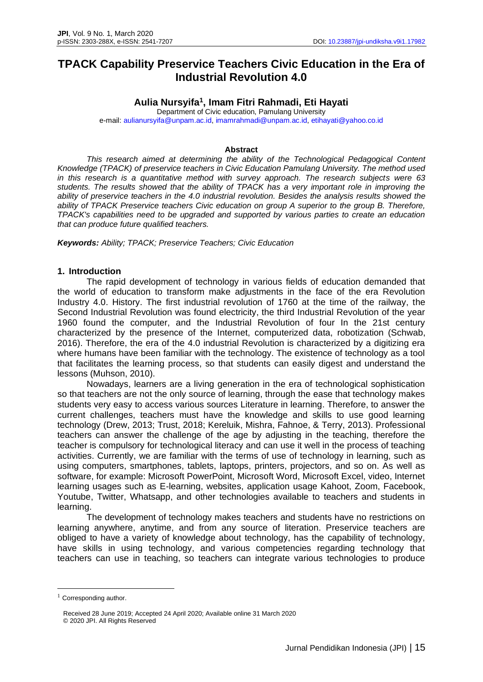# **TPACK Capability Preservice Teachers Civic Education in the Era of Industrial Revolution 4.0**

## **Aulia Nursyifa<sup>1</sup> , Imam Fitri Rahmadi, Eti Hayati**

Department of Civic education, Pamulang University e-mail: [aulianursyifa@unpam.ac.id,](mailto:aulianursyifa@unpam.ac.id) [imamrahmadi@unpam.ac.id,](mailto:imamrahmadi@unpam.ac.id) [etihayati@yahoo.co.id](mailto:etihayati@yahoo.co.id)

#### **Abstract**

*This research aimed at determining the ability of the Technological Pedagogical Content Knowledge (TPACK) of preservice teachers in Civic Education Pamulang University. The method used in this research is a quantitative method with survey approach. The research subjects were 63 students. The results showed that the ability of TPACK has a very important role in improving the ability of preservice teachers in the 4.0 industrial revolution. Besides the analysis results showed the ability of TPACK Preservice teachers Civic education on group A superior to the group B. Therefore, TPACK's capabilities need to be upgraded and supported by various parties to create an education that can produce future qualified teachers.*

*Keywords: Ability; TPACK; Preservice Teachers; Civic Education* 

#### **1. Introduction**

The rapid development of technology in various fields of education demanded that the world of education to transform make adjustments in the face of the era Revolution Industry 4.0. History. The first industrial revolution of 1760 at the time of the railway, the Second Industrial Revolution was found electricity, the third Industrial Revolution of the year 1960 found the computer, and the Industrial Revolution of four In the 21st century characterized by the presence of the Internet, computerized data, robotization (Schwab, 2016). Therefore, the era of the 4.0 industrial Revolution is characterized by a digitizing era where humans have been familiar with the technology. The existence of technology as a tool that facilitates the learning process, so that students can easily digest and understand the lessons (Muhson, 2010).

 Nowadays, learners are a living generation in the era of technological sophistication so that teachers are not the only source of learning, through the ease that technology makes students very easy to access various sources Literature in learning. Therefore, to answer the current challenges, teachers must have the knowledge and skills to use good learning technology (Drew, 2013; Trust, 2018; Kereluik, Mishra, Fahnoe, & Terry, 2013). Professional teachers can answer the challenge of the age by adjusting in the teaching, therefore the teacher is compulsory for technological literacy and can use it well in the process of teaching activities. Currently, we are familiar with the terms of use of technology in learning, such as using computers, smartphones, tablets, laptops, printers, projectors, and so on. As well as software, for example: Microsoft PowerPoint, Microsoft Word, Microsoft Excel, video, Internet learning usages such as E-learning, websites, application usage Kahoot, Zoom, Facebook, Youtube, Twitter, Whatsapp, and other technologies available to teachers and students in learning.

The development of technology makes teachers and students have no restrictions on learning anywhere, anytime, and from any source of literation. Preservice teachers are obliged to have a variety of knowledge about technology, has the capability of technology, have skills in using technology, and various competencies regarding technology that teachers can use in teaching, so teachers can integrate various technologies to produce

 $1$  Corresponding author.

Received 28 June 2019; Accepted 24 April 2020; Available online 31 March 2020 © 2020 JPI. All Rights Reserved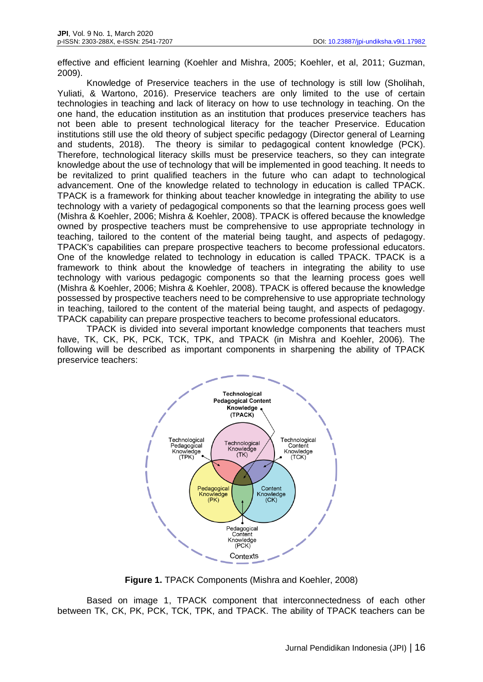effective and efficient learning (Koehler and Mishra, 2005; Koehler, et al, 2011; Guzman, 2009).

Knowledge of Preservice teachers in the use of technology is still low (Sholihah, Yuliati, & Wartono, 2016). Preservice teachers are only limited to the use of certain technologies in teaching and lack of literacy on how to use technology in teaching. On the one hand, the education institution as an institution that produces preservice teachers has not been able to present technological literacy for the teacher Preservice. Education institutions still use the old theory of subject specific pedagogy (Director general of Learning and students, 2018). The theory is similar to pedagogical content knowledge (PCK). Therefore, technological literacy skills must be preservice teachers, so they can integrate knowledge about the use of technology that will be implemented in good teaching. It needs to be revitalized to print qualified teachers in the future who can adapt to technological advancement. One of the knowledge related to technology in education is called TPACK. TPACK is a framework for thinking about teacher knowledge in integrating the ability to use technology with a variety of pedagogical components so that the learning process goes well (Mishra & Koehler, 2006; Mishra & Koehler, 2008). TPACK is offered because the knowledge owned by prospective teachers must be comprehensive to use appropriate technology in teaching, tailored to the content of the material being taught, and aspects of pedagogy. TPACK's capabilities can prepare prospective teachers to become professional educators. One of the knowledge related to technology in education is called TPACK. TPACK is a framework to think about the knowledge of teachers in integrating the ability to use technology with various pedagogic components so that the learning process goes well (Mishra & Koehler, 2006; Mishra & Koehler, 2008). TPACK is offered because the knowledge possessed by prospective teachers need to be comprehensive to use appropriate technology in teaching, tailored to the content of the material being taught, and aspects of pedagogy. TPACK capability can prepare prospective teachers to become professional educators.

TPACK is divided into several important knowledge components that teachers must have, TK, CK, PK, PCK, TCK, TPK, and TPACK (in Mishra and Koehler, 2006). The following will be described as important components in sharpening the ability of TPACK preservice teachers:



**Figure 1.** TPACK Components (Mishra and Koehler, 2008)

Based on image 1, TPACK component that interconnectedness of each other between TK, CK, PK, PCK, TCK, TPK, and TPACK. The ability of TPACK teachers can be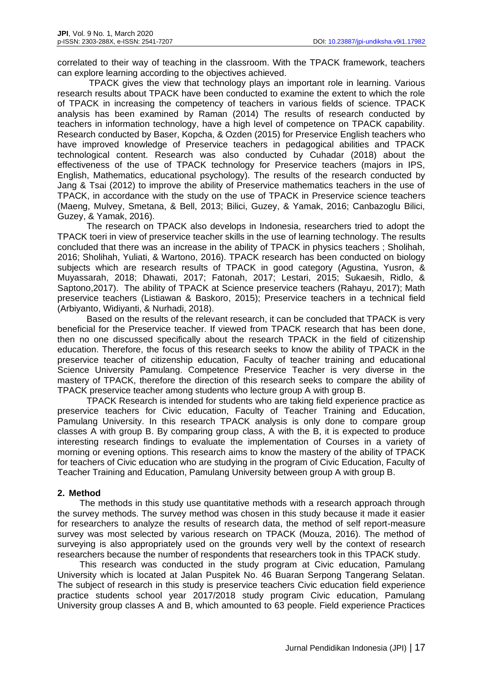correlated to their way of teaching in the classroom. With the TPACK framework, teachers can explore learning according to the objectives achieved.

 TPACK gives the view that technology plays an important role in learning. Various research results about TPACK have been conducted to examine the extent to which the role of TPACK in increasing the competency of teachers in various fields of science. TPACK analysis has been examined by Raman (2014) The results of research conducted by teachers in information technology, have a high level of competence on TPACK capability. Research conducted by Baser, Kopcha, & Ozden (2015) for Preservice English teachers who have improved knowledge of Preservice teachers in pedagogical abilities and TPACK technological content. Research was also conducted by Cuhadar (2018) about the effectiveness of the use of TPACK technology for Preservice teachers (majors in IPS, English, Mathematics, educational psychology). The results of the research conducted by Jang & Tsai (2012) to improve the ability of Preservice mathematics teachers in the use of TPACK, in accordance with the study on the use of TPACK in Preservice science teachers (Maeng, Mulvey, Smetana, & Bell, 2013; Bilici, Guzey, & Yamak, 2016; Canbazoglu Bilici, Guzey, & Yamak, 2016).

The research on TPACK also develops in Indonesia, researchers tried to adopt the TPACK toeri in view of preservice teacher skills in the use of learning technology. The results concluded that there was an increase in the ability of TPACK in physics teachers ; Sholihah, 2016; Sholihah, Yuliati, & Wartono, 2016). TPACK research has been conducted on biology subjects which are research results of TPACK in good category (Agustina, Yusron, & Muyassarah, 2018; Dhawati, 2017; Fatonah, 2017; Lestari, 2015; Sukaesih, Ridlo, & Saptono,2017). The ability of TPACK at Science preservice teachers (Rahayu, 2017); Math preservice teachers (Listiawan & Baskoro, 2015); Preservice teachers in a technical field (Arbiyanto, Widiyanti, & Nurhadi, 2018).

Based on the results of the relevant research, it can be concluded that TPACK is very beneficial for the Preservice teacher. If viewed from TPACK research that has been done, then no one discussed specifically about the research TPACK in the field of citizenship education. Therefore, the focus of this research seeks to know the ability of TPACK in the preservice teacher of citizenship education, Faculty of teacher training and educational Science University Pamulang. Competence Preservice Teacher is very diverse in the mastery of TPACK, therefore the direction of this research seeks to compare the ability of TPACK preservice teacher among students who lecture group A with group B.

TPACK Research is intended for students who are taking field experience practice as preservice teachers for Civic education, Faculty of Teacher Training and Education, Pamulang University. In this research TPACK analysis is only done to compare group classes A with group B. By comparing group class, A with the B, it is expected to produce interesting research findings to evaluate the implementation of Courses in a variety of morning or evening options. This research aims to know the mastery of the ability of TPACK for teachers of Civic education who are studying in the program of Civic Education, Faculty of Teacher Training and Education, Pamulang University between group A with group B.

#### **2. Method**

The methods in this study use quantitative methods with a research approach through the survey methods. The survey method was chosen in this study because it made it easier for researchers to analyze the results of research data, the method of self report-measure survey was most selected by various research on TPACK (Mouza, 2016). The method of surveying is also appropriately used on the grounds very well by the context of research researchers because the number of respondents that researchers took in this TPACK study.

This research was conducted in the study program at Civic education, Pamulang University which is located at Jalan Puspitek No. 46 Buaran Serpong Tangerang Selatan. The subject of research in this study is preservice teachers Civic education field experience practice students school year 2017/2018 study program Civic education, Pamulang University group classes A and B, which amounted to 63 people. Field experience Practices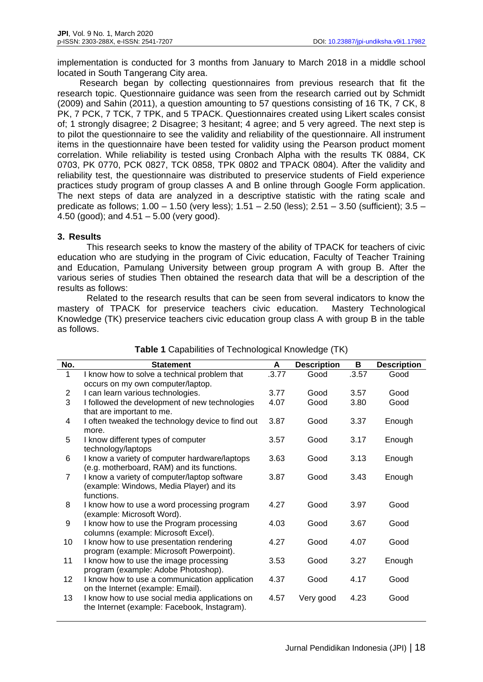implementation is conducted for 3 months from January to March 2018 in a middle school located in South Tangerang City area.

Research began by collecting questionnaires from previous research that fit the research topic. Questionnaire guidance was seen from the research carried out by Schmidt (2009) and Sahin (2011), a question amounting to 57 questions consisting of 16 TK, 7 CK, 8 PK, 7 PCK, 7 TCK, 7 TPK, and 5 TPACK. Questionnaires created using Likert scales consist of; 1 strongly disagree; 2 Disagree; 3 hesitant; 4 agree; and 5 very agreed. The next step is to pilot the questionnaire to see the validity and reliability of the questionnaire. All instrument items in the questionnaire have been tested for validity using the Pearson product moment correlation. While reliability is tested using Cronbach Alpha with the results TK 0884, CK 0703, PK 0770, PCK 0827, TCK 0858, TPK 0802 and TPACK 0804). After the validity and reliability test, the questionnaire was distributed to preservice students of Field experience practices study program of group classes A and B online through Google Form application. The next steps of data are analyzed in a descriptive statistic with the rating scale and predicate as follows; 1.00 – 1.50 (very less); 1.51 – 2.50 (less); 2.51 – 3.50 (sufficient); 3.5 – 4.50 (good); and 4.51 – 5.00 (very good).

## **3. Results**

This research seeks to know the mastery of the ability of TPACK for teachers of civic education who are studying in the program of Civic education, Faculty of Teacher Training and Education, Pamulang University between group program A with group B. After the various series of studies Then obtained the research data that will be a description of the results as follows:

Related to the research results that can be seen from several indicators to know the mastery of TPACK for preservice teachers civic education. Mastery Technological Knowledge (TK) preservice teachers civic education group class A with group B in the table as follows.

| No.            | <b>Statement</b>                                                                                       | A     | <b>Description</b> | В     | <b>Description</b> |
|----------------|--------------------------------------------------------------------------------------------------------|-------|--------------------|-------|--------------------|
| 1              | I know how to solve a technical problem that                                                           | .3.77 | Good               | .3.57 | Good               |
|                | occurs on my own computer/laptop.                                                                      |       |                    |       |                    |
| 2              | I can learn various technologies.                                                                      | 3.77  | Good               | 3.57  | Good               |
| 3              | I followed the development of new technologies                                                         | 4.07  | Good               | 3.80  | Good               |
|                | that are important to me.                                                                              |       |                    |       |                    |
| 4              | I often tweaked the technology device to find out<br>more.                                             | 3.87  | Good               | 3.37  | Enough             |
| 5              | I know different types of computer<br>technology/laptops                                               | 3.57  | Good               | 3.17  | Enough             |
| 6              | I know a variety of computer hardware/laptops<br>(e.g. motherboard, RAM) and its functions.            | 3.63  | Good               | 3.13  | Enough             |
| $\overline{7}$ | I know a variety of computer/laptop software<br>(example: Windows, Media Player) and its<br>functions. | 3.87  | Good               | 3.43  | Enough             |
| 8              | I know how to use a word processing program<br>(example: Microsoft Word).                              | 4.27  | Good               | 3.97  | Good               |
| $\mathsf g$    | I know how to use the Program processing<br>columns (example: Microsoft Excel).                        | 4.03  | Good               | 3.67  | Good               |
| 10             | I know how to use presentation rendering<br>program (example: Microsoft Powerpoint).                   | 4.27  | Good               | 4.07  | Good               |
| 11             | I know how to use the image processing<br>program (example: Adobe Photoshop).                          | 3.53  | Good               | 3.27  | Enough             |
| 12             | I know how to use a communication application<br>on the Internet (example: Email).                     | 4.37  | Good               | 4.17  | Good               |
| 13             | I know how to use social media applications on<br>the Internet (example: Facebook, Instagram).         | 4.57  | Very good          | 4.23  | Good               |

## **Table 1** Capabilities of Technological Knowledge (TK)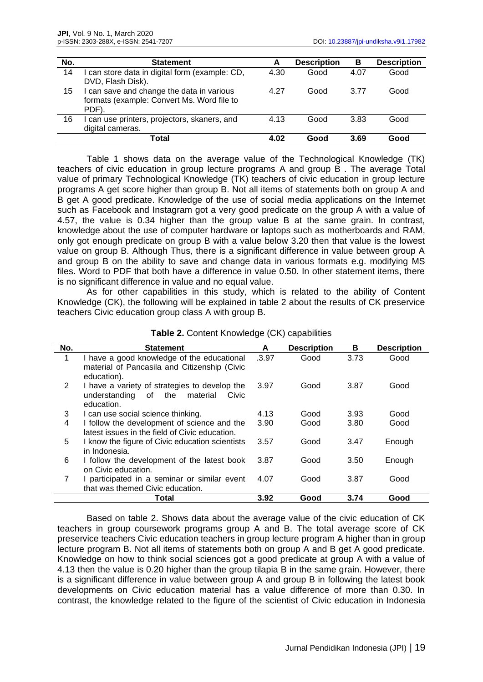| No. | <b>Statement</b>                                                                                 | А    | <b>Description</b> | В    | <b>Description</b> |
|-----|--------------------------------------------------------------------------------------------------|------|--------------------|------|--------------------|
| 14  | I can store data in digital form (example: CD,<br>DVD, Flash Disk).                              | 4.30 | Good               | 4.07 | Good               |
| 15  | I can save and change the data in various<br>formats (example: Convert Ms. Word file to<br>PDF). | 4.27 | Good               | 3.77 | Good               |
| 16  | can use printers, projectors, skaners, and<br>digital cameras.                                   | 4.13 | Good               | 3.83 | Good               |
|     | Total                                                                                            | 4.02 | Good               | 3.69 | Good               |

Table 1 shows data on the average value of the Technological Knowledge (TK) teachers of civic education in group lecture programs A and group B . The average Total value of primary Technological Knowledge (TK) teachers of civic education in group lecture programs A get score higher than group B. Not all items of statements both on group A and B get A good predicate. Knowledge of the use of social media applications on the Internet such as Facebook and Instagram got a very good predicate on the group A with a value of 4.57, the value is 0.34 higher than the group value B at the same grain. In contrast, knowledge about the use of computer hardware or laptops such as motherboards and RAM, only got enough predicate on group B with a value below 3.20 then that value is the lowest value on group B. Although Thus, there is a significant difference in value between group A and group B on the ability to save and change data in various formats e.g. modifying MS files. Word to PDF that both have a difference in value 0.50. In other statement items, there is no significant difference in value and no equal value.

As for other capabilities in this study, which is related to the ability of Content Knowledge (CK), the following will be explained in table 2 about the results of CK preservice teachers Civic education group class A with group B.

| No.                   | <b>Statement</b>                                                                                               | A     | <b>Description</b> | B    | <b>Description</b> |
|-----------------------|----------------------------------------------------------------------------------------------------------------|-------|--------------------|------|--------------------|
| 1                     | I have a good knowledge of the educational<br>material of Pancasila and Citizenship (Civic<br>education).      | .3.97 | Good               | 3.73 | Good               |
| $\mathbf{2}^{\prime}$ | I have a variety of strategies to develop the<br>the<br>material<br>understanding<br>of<br>Civic<br>education. | 3.97  | Good               | 3.87 | Good               |
| 3                     | I can use social science thinking.                                                                             | 4.13  | Good               | 3.93 | Good               |
| 4                     | I follow the development of science and the<br>latest issues in the field of Civic education.                  | 3.90  | Good               | 3.80 | Good               |
| 5                     | I know the figure of Civic education scientists<br>in Indonesia.                                               | 3.57  | Good               | 3.47 | Enough             |
| 6                     | I follow the development of the latest book<br>on Civic education.                                             | 3.87  | Good               | 3.50 | Enough             |
| 7                     | I participated in a seminar or similar event<br>that was themed Civic education.                               | 4.07  | Good               | 3.87 | Good               |
|                       | Total                                                                                                          | 3.92  | Good               | 3.74 | Good               |

**Table 2.** Content Knowledge (CK) capabilities

Based on table 2. Shows data about the average value of the civic education of CK teachers in group coursework programs group A and B. The total average score of CK preservice teachers Civic education teachers in group lecture program A higher than in group lecture program B. Not all items of statements both on group A and B get A good predicate. Knowledge on how to think social sciences got a good predicate at group A with a value of 4.13 then the value is 0.20 higher than the group tilapia B in the same grain. However, there is a significant difference in value between group A and group B in following the latest book developments on Civic education material has a value difference of more than 0.30. In contrast, the knowledge related to the figure of the scientist of Civic education in Indonesia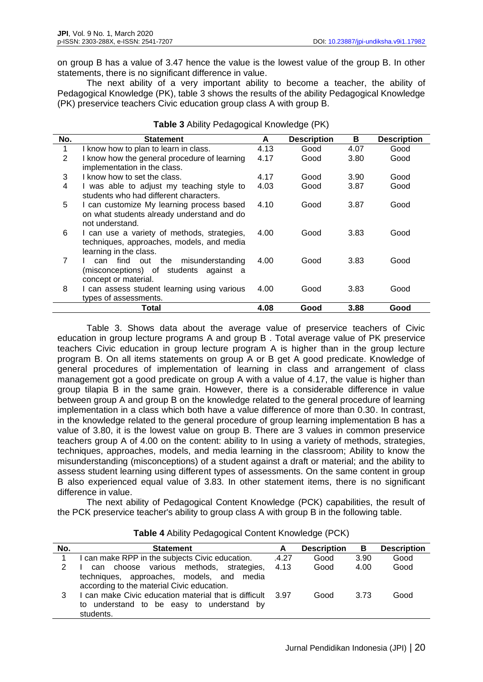on group B has a value of 3.47 hence the value is the lowest value of the group B. In other statements, there is no significant difference in value.

The next ability of a very important ability to become a teacher, the ability of Pedagogical Knowledge (PK), table 3 shows the results of the ability Pedagogical Knowledge (PK) preservice teachers Civic education group class A with group B.

| No. | <b>Statement</b>                                                                                                   | A    | <b>Description</b> | в    | <b>Description</b> |
|-----|--------------------------------------------------------------------------------------------------------------------|------|--------------------|------|--------------------|
| 1   | I know how to plan to learn in class.                                                                              | 4.13 | Good               | 4.07 | Good               |
| 2   | I know how the general procedure of learning<br>implementation in the class.                                       | 4.17 | Good               | 3.80 | Good               |
| 3   | I know how to set the class.                                                                                       | 4.17 | Good               | 3.90 | Good               |
| 4   | I was able to adjust my teaching style to<br>students who had different characters.                                | 4.03 | Good               | 3.87 | Good               |
| 5   | I can customize My learning process based<br>on what students already understand and do<br>not understand.         | 4.10 | Good               | 3.87 | Good               |
| 6   | I can use a variety of methods, strategies,<br>techniques, approaches, models, and media<br>learning in the class. | 4.00 | Good               | 3.83 | Good               |
| 7   | find out<br>the<br>misunderstanding<br>can<br>(misconceptions) of students<br>against a<br>concept or material.    | 4.00 | Good               | 3.83 | Good               |
| 8   | I can assess student learning using various<br>types of assessments.                                               | 4.00 | Good               | 3.83 | Good               |
|     | Total                                                                                                              | 4.08 | Good               | 3.88 | Good               |

|  |  | Table 3 Ability Pedagogical Knowledge (PK) |  |
|--|--|--------------------------------------------|--|
|--|--|--------------------------------------------|--|

Table 3. Shows data about the average value of preservice teachers of Civic education in group lecture programs A and group B . Total average value of PK preservice teachers Civic education in group lecture program A is higher than in the group lecture program B. On all items statements on group A or B get A good predicate. Knowledge of general procedures of implementation of learning in class and arrangement of class management got a good predicate on group A with a value of 4.17, the value is higher than group tilapia B in the same grain. However, there is a considerable difference in value between group A and group B on the knowledge related to the general procedure of learning implementation in a class which both have a value difference of more than 0.30. In contrast, in the knowledge related to the general procedure of group learning implementation B has a value of 3.80, it is the lowest value on group B. There are 3 values in common preservice teachers group A of 4.00 on the content: ability to In using a variety of methods, strategies, techniques, approaches, models, and media learning in the classroom; Ability to know the misunderstanding (misconceptions) of a student against a draft or material; and the ability to assess student learning using different types of assessments. On the same content in group B also experienced equal value of 3.83. In other statement items, there is no significant difference in value.

The next ability of Pedagogical Content Knowledge (PCK) capabilities, the result of the PCK preservice teacher's ability to group class A with group B in the following table.

| No. | <b>Statement</b>                                                                                                                      | A     | <b>Description</b> | В    | <b>Description</b> |
|-----|---------------------------------------------------------------------------------------------------------------------------------------|-------|--------------------|------|--------------------|
|     | can make RPP in the subjects Civic education.                                                                                         | .4.27 | Good               | 3.90 | Good               |
|     | choose various methods, strategies,<br>can<br>techniques, approaches, models, and media<br>according to the material Civic education. | 4.13  | Good               | 4.00 | Good               |
| 3   | I can make Civic education material that is difficult<br>to understand to be easy to understand by<br>students.                       | 3.97  | Good               | 3.73 | Good               |

**Table 4** Ability Pedagogical Content Knowledge (PCK)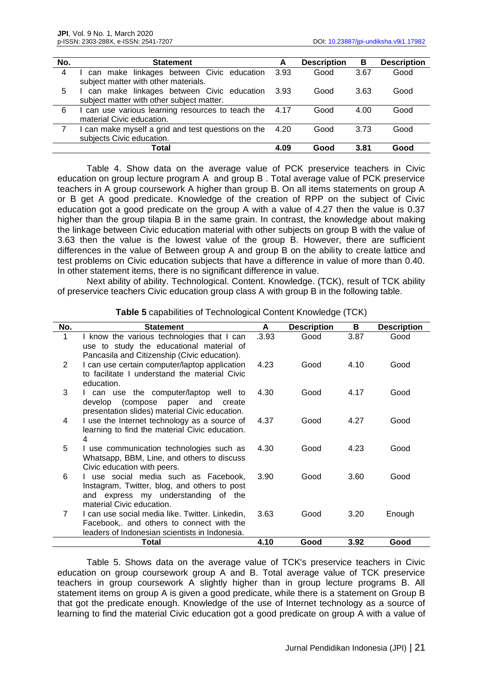| No. | <b>Statement</b>                                        | A    | <b>Description</b> | В    | <b>Description</b> |
|-----|---------------------------------------------------------|------|--------------------|------|--------------------|
| 4   | I can make linkages between Civic education 3.93        |      | Good               | 3.67 | Good               |
|     | subject matter with other materials.                    |      |                    |      |                    |
| 5   | I can make linkages between Civic education 3.93        |      | Good               | 3.63 | Good               |
|     | subject matter with other subject matter.               |      |                    |      |                    |
| 6   | I can use various learning resources to teach the 4.17  |      | Good               | 4.00 | Good               |
|     | material Civic education.                               |      |                    |      |                    |
|     | I can make myself a grid and test questions on the 4.20 |      | Good               | 3.73 | Good               |
|     | subjects Civic education.                               |      |                    |      |                    |
|     | Total                                                   | 4.09 | Good               | 3.81 | Good               |

Table 4. Show data on the average value of PCK preservice teachers in Civic education on group lecture program A and group B . Total average value of PCK preservice teachers in A group coursework A higher than group B. On all items statements on group A or B get A good predicate. Knowledge of the creation of RPP on the subject of Civic education got a good predicate on the group A with a value of 4.27 then the value is 0.37 higher than the group tilapia B in the same grain. In contrast, the knowledge about making the linkage between Civic education material with other subjects on group B with the value of 3.63 then the value is the lowest value of the group B. However, there are sufficient differences in the value of Between group A and group B on the ability to create lattice and test problems on Civic education subjects that have a difference in value of more than 0.40. In other statement items, there is no significant difference in value.

Next ability of ability. Technological. Content. Knowledge. (TCK), result of TCK ability of preservice teachers Civic education group class A with group B in the following table.

| No. | <b>Statement</b>                                                                                                                                                           | A     | <b>Description</b> | В    | <b>Description</b> |
|-----|----------------------------------------------------------------------------------------------------------------------------------------------------------------------------|-------|--------------------|------|--------------------|
| 1   | I know the various technologies that I can<br>use to study the educational material of                                                                                     | .3.93 | Good               | 3.87 | Good               |
| 2   | Pancasila and Citizenship (Civic education).<br>I can use certain computer/laptop application<br>to facilitate I understand the material Civic<br>education.               | 4.23  | Good               | 4.10 | Good               |
| 3   | I can use the computer/laptop well to<br>develop (compose paper and<br>create<br>presentation slides) material Civic education.                                            | 4.30  | Good               | 4.17 | Good               |
| 4   | I use the Internet technology as a source of<br>learning to find the material Civic education.<br>4                                                                        | 4.37  | Good               | 4.27 | Good               |
| 5   | I use communication technologies such as<br>Whatsapp, BBM, Line, and others to discuss<br>Civic education with peers.                                                      | 4.30  | Good               | 4.23 | Good               |
| 6   | I use social media such as Facebook,<br>Instagram, Twitter, blog, and others to post<br>and express my understanding of the                                                | 3.90  | Good               | 3.60 | Good               |
| 7   | material Civic education.<br>I can use social media like. Twitter. Linkedin,<br>Facebook, and others to connect with the<br>leaders of Indonesian scientists in Indonesia. | 3.63  | Good               | 3.20 | Enough             |
|     | <b>Total</b>                                                                                                                                                               | 4.10  | Good               | 3.92 | Good               |

**Table 5** capabilities of Technological Content Knowledge (TCK)

Table 5. Shows data on the average value of TCK's preservice teachers in Civic education on group coursework group A and B. Total average value of TCK preservice teachers in group coursework A slightly higher than in group lecture programs B. All statement items on group A is given a good predicate, while there is a statement on Group B that got the predicate enough. Knowledge of the use of Internet technology as a source of learning to find the material Civic education got a good predicate on group A with a value of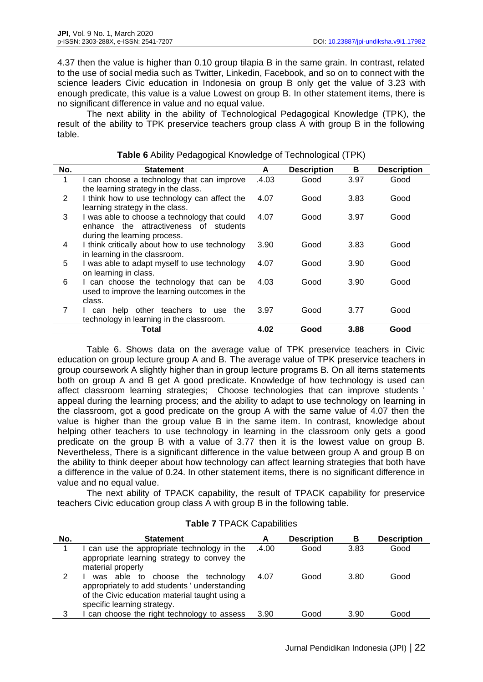4.37 then the value is higher than 0.10 group tilapia B in the same grain. In contrast, related to the use of social media such as Twitter, Linkedin, Facebook, and so on to connect with the science leaders Civic education in Indonesia on group B only get the value of 3.23 with enough predicate, this value is a value Lowest on group B. In other statement items, there is no significant difference in value and no equal value.

The next ability in the ability of Technological Pedagogical Knowledge (TPK), the result of the ability to TPK preservice teachers group class A with group B in the following table.

| No.            | <b>Statement</b>                               | A     | <b>Description</b> | в    | <b>Description</b> |
|----------------|------------------------------------------------|-------|--------------------|------|--------------------|
| 1              | I can choose a technology that can improve     | .4.03 | Good               | 3.97 | Good               |
|                | the learning strategy in the class.            |       |                    |      |                    |
| $\overline{2}$ | I think how to use technology can affect the   | 4.07  | Good               | 3.83 | Good               |
|                | learning strategy in the class.                |       |                    |      |                    |
| 3              | I was able to choose a technology that could   | 4.07  | Good               | 3.97 | Good               |
|                | enhance the attractiveness of students         |       |                    |      |                    |
|                | during the learning process.                   |       |                    |      |                    |
| 4              | I think critically about how to use technology | 3.90  | Good               | 3.83 | Good               |
|                | in learning in the classroom.                  |       |                    |      |                    |
| 5              | I was able to adapt myself to use technology   | 4.07  | Good               | 3.90 | Good               |
|                | on learning in class.                          |       |                    |      |                    |
| 6              | I can choose the technology that can be        | 4.03  | Good               | 3.90 | Good               |
|                | used to improve the learning outcomes in the   |       |                    |      |                    |
| 7              | class.                                         | 3.97  | Good               | 3.77 | Good               |
|                | help other teachers to<br>the<br>use<br>can    |       |                    |      |                    |
|                | technology in learning in the classroom.       |       |                    |      |                    |
|                | Total                                          | 4.02  | Good               | 3.88 | Good               |

|  | Table 6 Ability Pedagogical Knowledge of Technological (TPK) |  |  |
|--|--------------------------------------------------------------|--|--|
|  |                                                              |  |  |

Table 6. Shows data on the average value of TPK preservice teachers in Civic education on group lecture group A and B. The average value of TPK preservice teachers in group coursework A slightly higher than in group lecture programs B. On all items statements both on group A and B get A good predicate. Knowledge of how technology is used can affect classroom learning strategies; Choose technologies that can improve students ' appeal during the learning process; and the ability to adapt to use technology on learning in the classroom, got a good predicate on the group A with the same value of 4.07 then the value is higher than the group value B in the same item. In contrast, knowledge about helping other teachers to use technology in learning in the classroom only gets a good predicate on the group B with a value of 3.77 then it is the lowest value on group B. Nevertheless, There is a significant difference in the value between group A and group B on the ability to think deeper about how technology can affect learning strategies that both have a difference in the value of 0.24. In other statement items, there is no significant difference in value and no equal value.

The next ability of TPACK capability, the result of TPACK capability for preservice teachers Civic education group class A with group B in the following table.

| No. | <b>Statement</b>                               | A     | <b>Description</b> | в    | <b>Description</b> |
|-----|------------------------------------------------|-------|--------------------|------|--------------------|
|     | can use the appropriate technology in the      | .4.00 | Good               | 3.83 | Good               |
|     | appropriate learning strategy to convey the    |       |                    |      |                    |
|     | material properly                              |       |                    |      |                    |
|     | was able to choose the technology              | 4.07  | Good               | 3.80 | Good               |
|     | appropriately to add students ' understanding  |       |                    |      |                    |
|     | of the Civic education material taught using a |       |                    |      |                    |
|     | specific learning strategy.                    |       |                    |      |                    |
| 3   | can choose the right technology to assess      | 3.90  | Good               | 3.90 | Good               |

#### **Table 7** TPACK Capabilities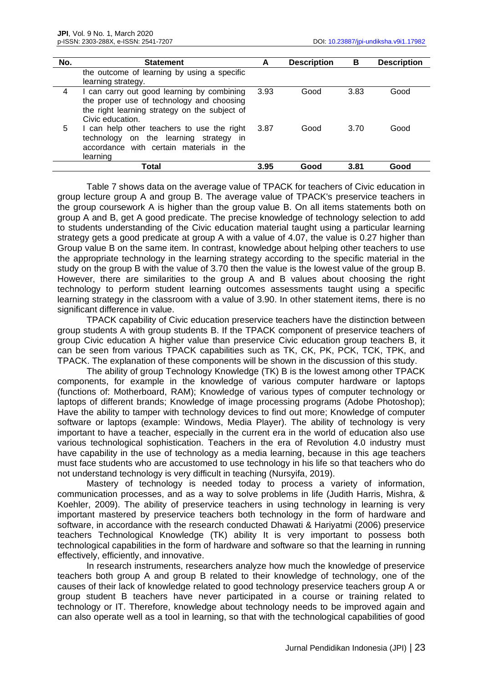| No. | <b>Statement</b>                                                                                                                                             | A    | <b>Description</b> | в    | <b>Description</b> |
|-----|--------------------------------------------------------------------------------------------------------------------------------------------------------------|------|--------------------|------|--------------------|
|     | the outcome of learning by using a specific<br>learning strategy.                                                                                            |      |                    |      |                    |
| 4   | I can carry out good learning by combining<br>the proper use of technology and choosing<br>the right learning strategy on the subject of<br>Civic education. | 3.93 | Good               | 3.83 | Good               |
| 5   | I can help other teachers to use the right<br>technology on the learning strategy<br>-in<br>accordance with certain materials in the<br>learning             | 3.87 | Good               | 3.70 | Good               |
|     | Total                                                                                                                                                        | 3.95 | Good               | 3.81 | Good               |

Table 7 shows data on the average value of TPACK for teachers of Civic education in group lecture group A and group B. The average value of TPACK's preservice teachers in the group coursework A is higher than the group value B. On all items statements both on group A and B, get A good predicate. The precise knowledge of technology selection to add to students understanding of the Civic education material taught using a particular learning strategy gets a good predicate at group A with a value of 4.07, the value is 0.27 higher than Group value B on the same item. In contrast, knowledge about helping other teachers to use the appropriate technology in the learning strategy according to the specific material in the study on the group B with the value of 3.70 then the value is the lowest value of the group B. However, there are similarities to the group A and B values about choosing the right technology to perform student learning outcomes assessments taught using a specific learning strategy in the classroom with a value of 3.90. In other statement items, there is no significant difference in value.

TPACK capability of Civic education preservice teachers have the distinction between group students A with group students B. If the TPACK component of preservice teachers of group Civic education A higher value than preservice Civic education group teachers B, it can be seen from various TPACK capabilities such as TK, CK, PK, PCK, TCK, TPK, and TPACK. The explanation of these components will be shown in the discussion of this study.

The ability of group Technology Knowledge (TK) B is the lowest among other TPACK components, for example in the knowledge of various computer hardware or laptops (functions of: Motherboard, RAM); Knowledge of various types of computer technology or laptops of different brands; Knowledge of image processing programs (Adobe Photoshop); Have the ability to tamper with technology devices to find out more; Knowledge of computer software or laptops (example: Windows, Media Player). The ability of technology is very important to have a teacher, especially in the current era in the world of education also use various technological sophistication. Teachers in the era of Revolution 4.0 industry must have capability in the use of technology as a media learning, because in this age teachers must face students who are accustomed to use technology in his life so that teachers who do not understand technology is very difficult in teaching (Nursyifa, 2019).

Mastery of technology is needed today to process a variety of information, communication processes, and as a way to solve problems in life (Judith Harris, Mishra, & Koehler, 2009). The ability of preservice teachers in using technology in learning is very important mastered by preservice teachers both technology in the form of hardware and software, in accordance with the research conducted Dhawati & Hariyatmi (2006) preservice teachers Technological Knowledge (TK) ability It is very important to possess both technological capabilities in the form of hardware and software so that the learning in running effectively, efficiently, and innovative.

In research instruments, researchers analyze how much the knowledge of preservice teachers both group A and group B related to their knowledge of technology, one of the causes of their lack of knowledge related to good technology preservice teachers group A or group student B teachers have never participated in a course or training related to technology or IT. Therefore, knowledge about technology needs to be improved again and can also operate well as a tool in learning, so that with the technological capabilities of good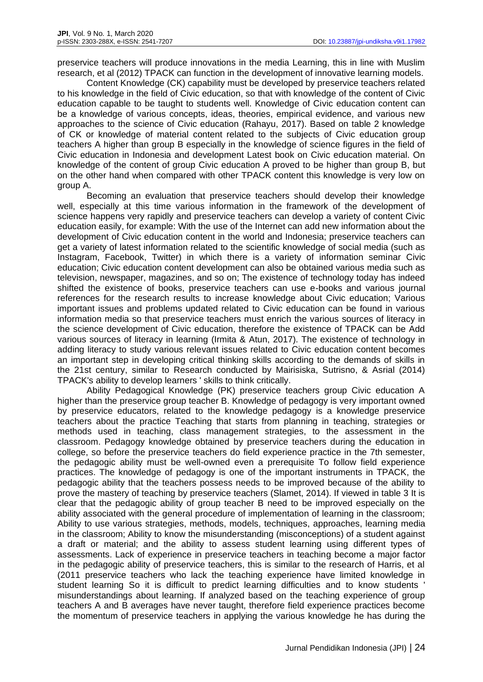preservice teachers will produce innovations in the media Learning, this in line with Muslim research, et al (2012) TPACK can function in the development of innovative learning models.

Content Knowledge (CK) capability must be developed by preservice teachers related to his knowledge in the field of Civic education, so that with knowledge of the content of Civic education capable to be taught to students well. Knowledge of Civic education content can be a knowledge of various concepts, ideas, theories, empirical evidence, and various new approaches to the science of Civic education (Rahayu, 2017). Based on table 2 knowledge of CK or knowledge of material content related to the subjects of Civic education group teachers A higher than group B especially in the knowledge of science figures in the field of Civic education in Indonesia and development Latest book on Civic education material. On knowledge of the content of group Civic education A proved to be higher than group B, but on the other hand when compared with other TPACK content this knowledge is very low on group A.

Becoming an evaluation that preservice teachers should develop their knowledge well, especially at this time various information in the framework of the development of science happens very rapidly and preservice teachers can develop a variety of content Civic education easily, for example: With the use of the Internet can add new information about the development of Civic education content in the world and Indonesia; preservice teachers can get a variety of latest information related to the scientific knowledge of social media (such as Instagram, Facebook, Twitter) in which there is a variety of information seminar Civic education; Civic education content development can also be obtained various media such as television, newspaper, magazines, and so on; The existence of technology today has indeed shifted the existence of books, preservice teachers can use e-books and various journal references for the research results to increase knowledge about Civic education; Various important issues and problems updated related to Civic education can be found in various information media so that preservice teachers must enrich the various sources of literacy in the science development of Civic education, therefore the existence of TPACK can be Add various sources of literacy in learning (Irmita & Atun, 2017). The existence of technology in adding literacy to study various relevant issues related to Civic education content becomes an important step in developing critical thinking skills according to the demands of skills in the 21st century, similar to Research conducted by Mairisiska, Sutrisno, & Asrial (2014) TPACK's ability to develop learners ' skills to think critically.

Ability Pedagogical Knowledge (PK) preservice teachers group Civic education A higher than the preservice group teacher B. Knowledge of pedagogy is very important owned by preservice educators, related to the knowledge pedagogy is a knowledge preservice teachers about the practice Teaching that starts from planning in teaching, strategies or methods used in teaching, class management strategies, to the assessment in the classroom. Pedagogy knowledge obtained by preservice teachers during the education in college, so before the preservice teachers do field experience practice in the 7th semester, the pedagogic ability must be well-owned even a prerequisite To follow field experience practices. The knowledge of pedagogy is one of the important instruments in TPACK, the pedagogic ability that the teachers possess needs to be improved because of the ability to prove the mastery of teaching by preservice teachers (Slamet, 2014). If viewed in table 3 It is clear that the pedagogic ability of group teacher B need to be improved especially on the ability associated with the general procedure of implementation of learning in the classroom; Ability to use various strategies, methods, models, techniques, approaches, learning media in the classroom; Ability to know the misunderstanding (misconceptions) of a student against a draft or material; and the ability to assess student learning using different types of assessments. Lack of experience in preservice teachers in teaching become a major factor in the pedagogic ability of preservice teachers, this is similar to the research of Harris, et al (2011 preservice teachers who lack the teaching experience have limited knowledge in student learning So it is difficult to predict learning difficulties and to know students ' misunderstandings about learning. If analyzed based on the teaching experience of group teachers A and B averages have never taught, therefore field experience practices become the momentum of preservice teachers in applying the various knowledge he has during the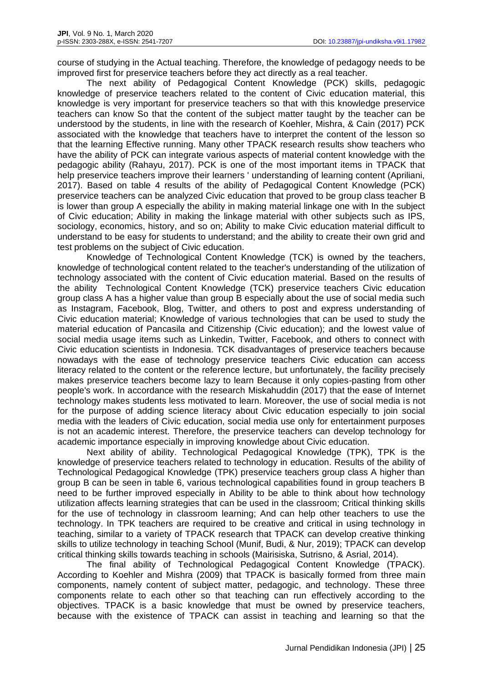course of studying in the Actual teaching. Therefore, the knowledge of pedagogy needs to be improved first for preservice teachers before they act directly as a real teacher.

The next ability of Pedagogical Content Knowledge (PCK) skills, pedagogic knowledge of preservice teachers related to the content of Civic education material, this knowledge is very important for preservice teachers so that with this knowledge preservice teachers can know So that the content of the subject matter taught by the teacher can be understood by the students, in line with the research of Koehler, Mishra, & Cain (2017) PCK associated with the knowledge that teachers have to interpret the content of the lesson so that the learning Effective running. Many other TPACK research results show teachers who have the ability of PCK can integrate various aspects of material content knowledge with the pedagogic ability (Rahayu, 2017). PCK is one of the most important items in TPACK that help preservice teachers improve their learners ' understanding of learning content (Apriliani, 2017). Based on table 4 results of the ability of Pedagogical Content Knowledge (PCK) preservice teachers can be analyzed Civic education that proved to be group class teacher B is lower than group A especially the ability in making material linkage one with In the subject of Civic education; Ability in making the linkage material with other subjects such as IPS, sociology, economics, history, and so on; Ability to make Civic education material difficult to understand to be easy for students to understand; and the ability to create their own grid and test problems on the subject of Civic education.

Knowledge of Technological Content Knowledge (TCK) is owned by the teachers, knowledge of technological content related to the teacher's understanding of the utilization of technology associated with the content of Civic education material. Based on the results of the ability Technological Content Knowledge (TCK) preservice teachers Civic education group class A has a higher value than group B especially about the use of social media such as Instagram, Facebook, Blog, Twitter, and others to post and express understanding of Civic education material; Knowledge of various technologies that can be used to study the material education of Pancasila and Citizenship (Civic education); and the lowest value of social media usage items such as Linkedin, Twitter, Facebook, and others to connect with Civic education scientists in Indonesia. TCK disadvantages of preservice teachers because nowadays with the ease of technology preservice teachers Civic education can access literacy related to the content or the reference lecture, but unfortunately, the facility precisely makes preservice teachers become lazy to learn Because it only copies-pasting from other people's work. In accordance with the research Miskahuddin (2017) that the ease of Internet technology makes students less motivated to learn. Moreover, the use of social media is not for the purpose of adding science literacy about Civic education especially to join social media with the leaders of Civic education, social media use only for entertainment purposes is not an academic interest. Therefore, the preservice teachers can develop technology for academic importance especially in improving knowledge about Civic education.

Next ability of ability. Technological Pedagogical Knowledge (TPK), TPK is the knowledge of preservice teachers related to technology in education. Results of the ability of Technological Pedagogical Knowledge (TPK) preservice teachers group class A higher than group B can be seen in table 6, various technological capabilities found in group teachers B need to be further improved especially in Ability to be able to think about how technology utilization affects learning strategies that can be used in the classroom; Critical thinking skills for the use of technology in classroom learning; And can help other teachers to use the technology. In TPK teachers are required to be creative and critical in using technology in teaching, similar to a variety of TPACK research that TPACK can develop creative thinking skills to utilize technology in teaching School (Munif, Budi, & Nur, 2019); TPACK can develop critical thinking skills towards teaching in schools (Mairisiska, Sutrisno, & Asrial, 2014).

The final ability of Technological Pedagogical Content Knowledge (TPACK). According to Koehler and Mishra (2009) that TPACK is basically formed from three main components, namely content of subject matter, pedagogic, and technology. These three components relate to each other so that teaching can run effectively according to the objectives. TPACK is a basic knowledge that must be owned by preservice teachers, because with the existence of TPACK can assist in teaching and learning so that the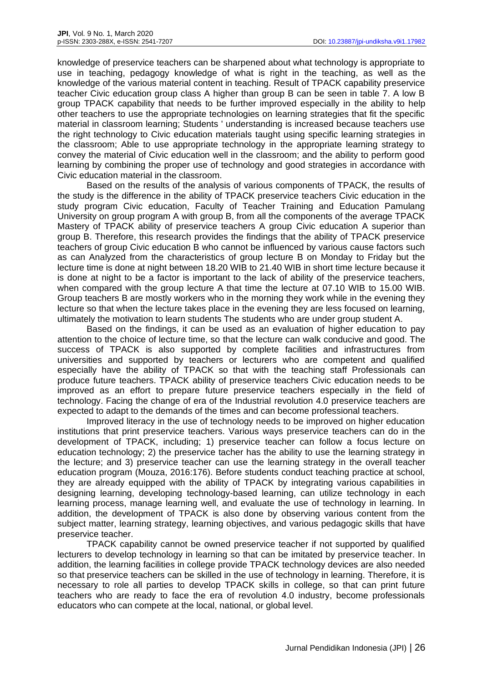knowledge of preservice teachers can be sharpened about what technology is appropriate to use in teaching, pedagogy knowledge of what is right in the teaching, as well as the knowledge of the various material content in teaching. Result of TPACK capability preservice teacher Civic education group class A higher than group B can be seen in table 7. A low B group TPACK capability that needs to be further improved especially in the ability to help other teachers to use the appropriate technologies on learning strategies that fit the specific material in classroom learning; Students ' understanding is increased because teachers use the right technology to Civic education materials taught using specific learning strategies in the classroom; Able to use appropriate technology in the appropriate learning strategy to convey the material of Civic education well in the classroom; and the ability to perform good learning by combining the proper use of technology and good strategies in accordance with Civic education material in the classroom.

Based on the results of the analysis of various components of TPACK, the results of the study is the difference in the ability of TPACK preservice teachers Civic education in the study program Civic education, Faculty of Teacher Training and Education Pamulang University on group program A with group B, from all the components of the average TPACK Mastery of TPACK ability of preservice teachers A group Civic education A superior than group B. Therefore, this research provides the findings that the ability of TPACK preservice teachers of group Civic education B who cannot be influenced by various cause factors such as can Analyzed from the characteristics of group lecture B on Monday to Friday but the lecture time is done at night between 18.20 WIB to 21.40 WIB in short time lecture because it is done at night to be a factor is important to the lack of ability of the preservice teachers, when compared with the group lecture A that time the lecture at 07.10 WIB to 15.00 WIB. Group teachers B are mostly workers who in the morning they work while in the evening they lecture so that when the lecture takes place in the evening they are less focused on learning, ultimately the motivation to learn students The students who are under group student A.

Based on the findings, it can be used as an evaluation of higher education to pay attention to the choice of lecture time, so that the lecture can walk conducive and good. The success of TPACK is also supported by complete facilities and infrastructures from universities and supported by teachers or lecturers who are competent and qualified especially have the ability of TPACK so that with the teaching staff Professionals can produce future teachers. TPACK ability of preservice teachers Civic education needs to be improved as an effort to prepare future preservice teachers especially in the field of technology. Facing the change of era of the Industrial revolution 4.0 preservice teachers are expected to adapt to the demands of the times and can become professional teachers.

Improved literacy in the use of technology needs to be improved on higher education institutions that print preservice teachers. Various ways preservice teachers can do in the development of TPACK, including; 1) preservice teacher can follow a focus lecture on education technology; 2) the preservice tacher has the ability to use the learning strategy in the lecture; and 3) preservice teacher can use the learning strategy in the overall teacher education program (Mouza, 2016:176). Before students conduct teaching practice at school, they are already equipped with the ability of TPACK by integrating various capabilities in designing learning, developing technology-based learning, can utilize technology in each learning process, manage learning well, and evaluate the use of technology in learning. In addition, the development of TPACK is also done by observing various content from the subject matter, learning strategy, learning objectives, and various pedagogic skills that have preservice teacher.

TPACK capability cannot be owned preservice teacher if not supported by qualified lecturers to develop technology in learning so that can be imitated by preservice teacher. In addition, the learning facilities in college provide TPACK technology devices are also needed so that preservice teachers can be skilled in the use of technology in learning. Therefore, it is necessary to role all parties to develop TPACK skills in college, so that can print future teachers who are ready to face the era of revolution 4.0 industry, become professionals educators who can compete at the local, national, or global level.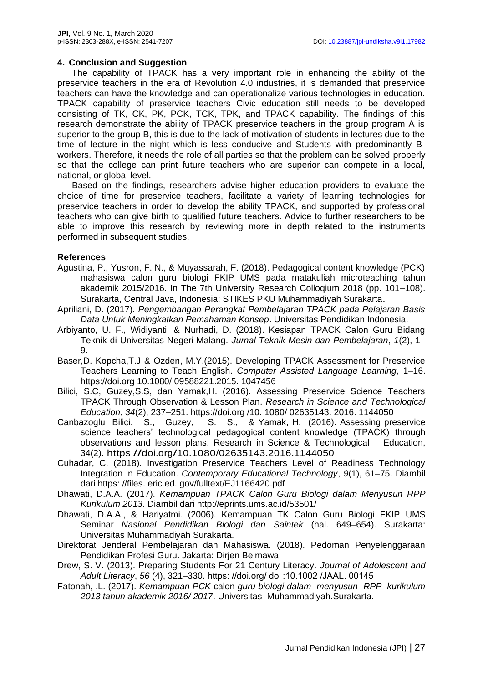## **4. Conclusion and Suggestion**

The capability of TPACK has a very important role in enhancing the ability of the preservice teachers in the era of Revolution 4.0 industries, it is demanded that preservice teachers can have the knowledge and can operationalize various technologies in education. TPACK capability of preservice teachers Civic education still needs to be developed consisting of TK, CK, PK, PCK, TCK, TPK, and TPACK capability. The findings of this research demonstrate the ability of TPACK preservice teachers in the group program A is superior to the group B, this is due to the lack of motivation of students in lectures due to the time of lecture in the night which is less conducive and Students with predominantly Bworkers. Therefore, it needs the role of all parties so that the problem can be solved properly so that the college can print future teachers who are superior can compete in a local, national, or global level.

Based on the findings, researchers advise higher education providers to evaluate the choice of time for preservice teachers, facilitate a variety of learning technologies for preservice teachers in order to develop the ability TPACK, and supported by professional teachers who can give birth to qualified future teachers. Advice to further researchers to be able to improve this research by reviewing more in depth related to the instruments performed in subsequent studies.

## **References**

- Agustina, P., Yusron, F. N., & Muyassarah, F. (2018). Pedagogical content knowledge (PCK) mahasiswa calon guru biologi FKIP UMS pada matakuliah microteaching tahun akademik 2015/2016. In The 7th University Research Colloqium 2018 (pp. 101–108). Surakarta, Central Java, Indonesia: STIKES PKU Muhammadiyah Surakarta.
- Apriliani, D. (2017). *Pengembangan Perangkat Pembelajaran TPACK pada Pelajaran Basis Data Untuk Meningkatkan Pemahaman Konsep*. Universitas Pendidikan Indonesia.
- Arbiyanto, U. F., Widiyanti, & Nurhadi, D. (2018). Kesiapan TPACK Calon Guru Bidang Teknik di Universitas Negeri Malang. *Jurnal Teknik Mesin dan Pembelajaran*, *1*(2), 1– 9.
- Baser,D. Kopcha,T.J & Ozden, M.Y.(2015). Developing TPACK Assessment for Preservice Teachers Learning to Teach English. *Computer Assisted Language Learning*, 1–16. [https://doi.org](https://doi.org/) 10.1080/ 09588221.2015. 1047456
- Bilici, S.C, Guzey,S.S, dan Yamak,H. (2016). Assessing Preservice Science Teachers TPACK Through Observation & Lesson Plan. *Research in Science and Technological Education*, *34*(2), 237–251. https://doi.org /10. 1080/ 02635143. 2016. 1144050
- Canbazoglu Bilici, S., Guzey, S. S., & Yamak, H. (2016). Assessing preservice science teachers' technological pedagogical content knowledge (TPACK) through observations and lesson plans. Research in Science & Technological Education, 34(2). <https://doi.org/10.1080/02635143.2016.1144050>
- Cuhadar, C. (2018). Investigation Preservice Teachers Level of Readiness Technology Integration in Education. *Contemporary Educational Technology*, *9*(1), 61–75. Diambil dari https: //files. eric.ed. gov/fulltext/EJ1166420.pdf
- Dhawati, D.A.A. (2017). *Kemampuan TPACK Calon Guru Biologi dalam Menyusun RPP Kurikulum 2013*. Diambil dari http://eprints.ums.ac.id/53501/
- Dhawati, D.A.A., & Hariyatmi. (2006). Kemampuan TK Calon Guru Biologi FKIP UMS Seminar *Nasional Pendidikan Biologi dan Saintek* (hal. 649–654). Surakarta: Universitas Muhammadiyah Surakarta.
- Direktorat Jenderal Pembelajaran dan Mahasiswa. (2018). Pedoman Penyelenggaraan Pendidikan Profesi Guru. Jakarta: Dirjen Belmawa.
- Drew, S. V. (2013). Preparing Students For 21 Century Literacy. *Journal of Adolescent and Adult Literacy*, *56* (4), 321–330. [https: //doi.org/](https://doi.org/) doi :10.1002 /JAAL. 00145
- Fatonah, .L. (2017). *Kemampuan PCK* calon *guru biologi dalam menyusun RPP kurikulum 2013 tahun akademik 2016/ 2017*. Universitas Muhammadiyah.Surakarta.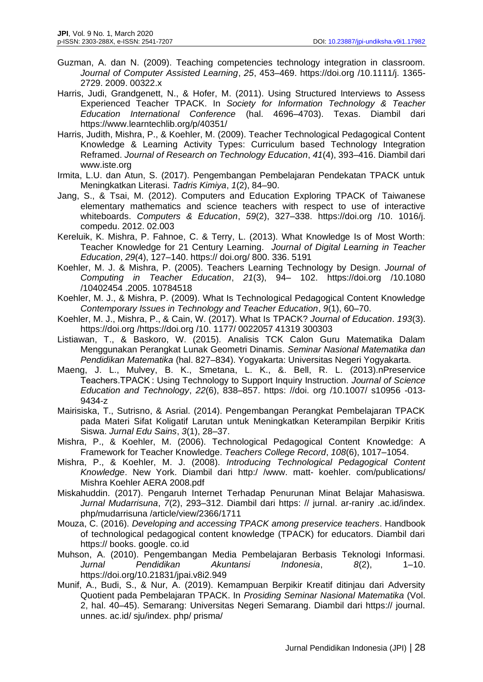- Guzman, A. dan N. (2009). Teaching competencies technology integration in classroom. *Journal of Computer Assisted Learning*, *25*, 453–469. [https://doi.org](https://doi.org/) /10.1111/j. 1365- 2729. 2009. 00322.x
- Harris, Judi, Grandgenett, N., & Hofer, M. (2011). Using Structured Interviews to Assess Experienced Teacher TPACK. In *Society for Information Technology & Teacher Education International Conference* (hal. 4696–4703). Texas. Diambil dari <https://www.learntechlib.org/p/40351/>
- Harris, Judith, Mishra, P., & Koehler, M. (2009). Teacher Technological Pedagogical Content Knowledge & Learning Activity Types: Curriculum based Technology Integration Reframed. *Journal of Research on Technology Education*, *41*(4), 393–416. Diambil dari www.iste.org
- Irmita, L.U. dan Atun, S. (2017). Pengembangan Pembelajaran Pendekatan TPACK untuk Meningkatkan Literasi. *Tadris Kimiya*, *1*(2), 84–90.
- Jang, S., & Tsai, M. (2012). Computers and Education Exploring TPACK of Taiwanese elementary mathematics and science teachers with respect to use of interactive whiteboards. *Computers & Education*, *59*(2), 327–338. [https://doi.org](https://doi.org/) /10. 1016/j. compedu. 2012. 02.003
- Kereluik, K. Mishra, P. Fahnoe, C. & Terry, L. (2013). What Knowledge Is of Most Worth: Teacher Knowledge for 21 Century Learning. *Journal of Digital Learning in Teacher Education*, *29*(4), 127–140. https:// doi.org/ 800. 336. 5191
- Koehler, M. J. & Mishra, P. (2005). Teachers Learning Technology by Design. *Journal of Computing in Teacher Education*, *21*(3), 94– 102. [https://doi.org](https://doi.org/) /10.1080 /10402454 .2005. 10784518
- Koehler, M. J., & Mishra, P. (2009). What Is Technological Pedagogical Content Knowledge *Contemporary Issues in Technology and Teacher Education*, *9*(1), 60–70.
- Koehler, M. J., Mishra, P., & Cain, W. (2017). What Is TPACK? *Journal of Education*. *193*(3). [https://doi.org](https://doi.org/) /https://doi.org /10. 1177/ 0022057 41319 300303
- Listiawan, T., & Baskoro, W. (2015). Analisis TCK Calon Guru Matematika Dalam Menggunakan Perangkat Lunak Geometri Dinamis. *Seminar Nasional Matematika dan Pendidikan Matematika* (hal. 827–834). Yogyakarta: Universitas Negeri Yogyakarta.
- Maeng, J. L., Mulvey, B. K., Smetana, L. K., &. Bell, R. L. (2013).nPreservice Teachers.TPACK : Using Technology to Support Inquiry Instruction. *Journal of Science Education and Technology*, *22*(6), 838–857. [https: //doi.](https://doi/) org /10.1007/ s10956 -013- 9434-z
- Mairisiska, T., Sutrisno, & Asrial. (2014). Pengembangan Perangkat Pembelajaran TPACK pada Materi Sifat Koligatif Larutan untuk Meningkatkan Keterampilan Berpikir Kritis Siswa. *Jurnal Edu Sains*, *3*(1), 28–37.
- Mishra, P., & Koehler, M. (2006). Technological Pedagogical Content Knowledge: A Framework for Teacher Knowledge. *Teachers College Record*, *108*(6), 1017–1054.
- Mishra, P., & Koehler, M. J. (2008). *Introducing Technological Pedagogical Content Knowledge*. New York. Diambil dari [http:/ /www. matt-](about:blank) koehler. com/publications/ Mishra Koehler AERA 2008.pdf
- Miskahuddin. (2017). Pengaruh Internet Terhadap Penurunan Minat Belajar Mahasiswa. *Jurnal Mudarrisuna*, *7*(2), 293–312. Diambil dari [https: // jurnal.](https://jurnal/) ar-raniry .ac.id/index. php/mudarrisuna /article/view/2366/1711
- Mouza, C. (2016). *Developing and accessing TPACK among preservice teachers*. Handbook of technological pedagogical content knowledge (TPACK) for educators. Diambil dari https:// books. google. co.id
- Muhson, A. (2010). Pengembangan Media Pembelajaran Berbasis Teknologi Informasi. *Jurnal Pendidikan Akuntansi Indonesia*, *8*(2), 1–10. https://doi.org/10.21831/jpai.v8i2.949
- Munif, A., Budi, S., & Nur, A. (2019). Kemampuan Berpikir Kreatif ditinjau dari Adversity Quotient pada Pembelajaran TPACK. In *Prosiding Seminar Nasional Matematika* (Vol. 2, hal. 40–45). Semarang: Universitas Negeri Semarang. Diambil dari https:// journal. unnes. ac.id/ sju/index. php/ prisma/